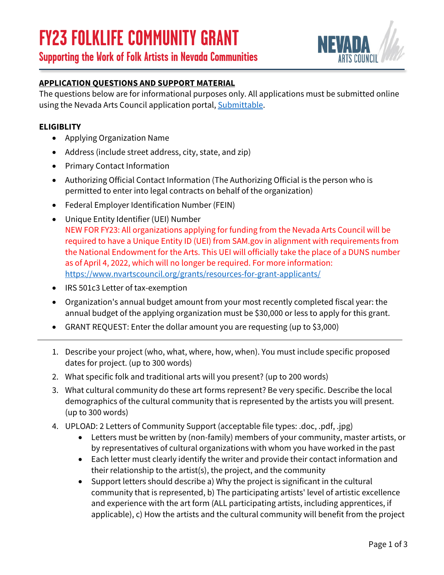

### **Supporting the Work of Folk Artists in Nevada Communities**

### **APPLICATION QUESTIONS AND SUPPORT MATERIAL**

The questions below are for informational purposes only. All applications must be submitted online using the Nevada Arts Council application portal, [Submittable.](https://nevadaartscouncil.submittable.com/submit)

### **ELIGIBLITY**

- Applying Organization Name
- Address (include street address, city, state, and zip)
- Primary Contact Information
- Authorizing Official Contact Information (The Authorizing Official is the person who is permitted to enter into legal contracts on behalf of the organization)
- Federal Employer Identification Number (FEIN)
- Unique Entity Identifier (UEI) Number NEW FOR FY23: All organizations applying for funding from the Nevada Arts Council will be required to have a Unique Entity ID (UEI) from SAM.gov in alignment with requirements from the National Endowment for the Arts. This UEI will officially take the place of a DUNS number as of April 4, 2022, which will no longer be required. For more information: <https://www.nvartscouncil.org/grants/resources-for-grant-applicants/>
- IRS 501c3 Letter of tax-exemption
- Organization's annual budget amount from your most recently completed fiscal year: the annual budget of the applying organization must be \$30,000 or less to apply for this grant.
- GRANT REQUEST: Enter the dollar amount you are requesting (up to \$3,000)
- 1. Describe your project (who, what, where, how, when). You must include specific proposed dates for project. (up to 300 words)
- 2. What specific folk and traditional arts will you present? (up to 200 words)
- 3. What cultural community do these art forms represent? Be very specific. Describe the local demographics of the cultural community that is represented by the artists you will present. (up to 300 words)
- 4. UPLOAD: 2 Letters of Community Support (acceptable file types: .doc, .pdf, .jpg)
	- Letters must be written by (non-family) members of your community, master artists, or by representatives of cultural organizations with whom you have worked in the past
	- Each letter must clearly identify the writer and provide their contact information and their relationship to the artist(s), the project, and the community
	- Support letters should describe a) Why the project is significant in the cultural community that is represented, b) The participating artists' level of artistic excellence and experience with the art form (ALL participating artists, including apprentices, if applicable), c) How the artists and the cultural community will benefit from the project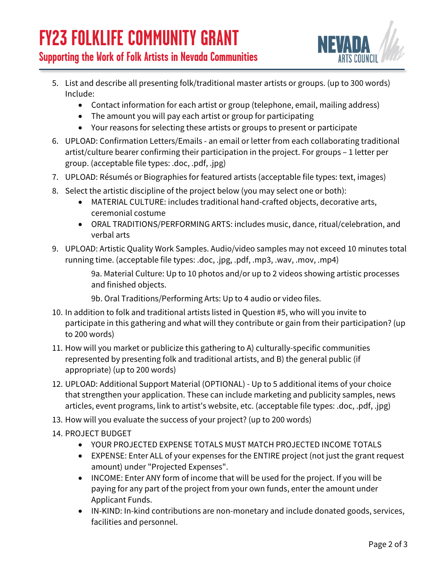# **FY23 FOLKLIFE COMMUNITY GRANT**



- **Supporting the Work of Folk Artists in Nevada Communities**
	- 5. List and describe all presenting folk/traditional master artists or groups. (up to 300 words) Include:
		- Contact information for each artist or group (telephone, email, mailing address)
		- The amount you will pay each artist or group for participating
		- Your reasons for selecting these artists or groups to present or participate
	- 6. UPLOAD: Confirmation Letters/Emails an email or letter from each collaborating traditional artist/culture bearer confirming their participation in the project. For groups – 1 letter per group. (acceptable file types: .doc, .pdf, .jpg)
	- 7. UPLOAD: Résumés or Biographies for featured artists (acceptable file types: text, images)
	- 8. Select the artistic discipline of the project below (you may select one or both):
		- MATERIAL CULTURE: includes traditional hand-crafted objects, decorative arts, ceremonial costume
		- ORAL TRADITIONS/PERFORMING ARTS: includes music, dance, ritual/celebration, and verbal arts
	- 9. UPLOAD: Artistic Quality Work Samples. Audio/video samples may not exceed 10 minutes total running time. (acceptable file types: .doc, .jpg, .pdf, .mp3, .wav, .mov, .mp4)

9a. Material Culture: Up to 10 photos and/or up to 2 videos showing artistic processes and finished objects.

9b. Oral Traditions/Performing Arts: Up to 4 audio or video files.

- 10. In addition to folk and traditional artists listed in Question #5, who will you invite to participate in this gathering and what will they contribute or gain from their participation? (up to 200 words)
- 11. How will you market or publicize this gathering to A) culturally-specific communities represented by presenting folk and traditional artists, and B) the general public (if appropriate) (up to 200 words)
- 12. UPLOAD: Additional Support Material (OPTIONAL) Up to 5 additional items of your choice that strengthen your application. These can include marketing and publicity samples, news articles, event programs, link to artist's website, etc. (acceptable file types: .doc, .pdf, .jpg)
- 13. How will you evaluate the success of your project? (up to 200 words)
- 14. PROJECT BUDGET
	- YOUR PROJECTED EXPENSE TOTALS MUST MATCH PROJECTED INCOME TOTALS
	- EXPENSE: Enter ALL of your expenses for the ENTIRE project (not just the grant request amount) under "Projected Expenses".
	- INCOME: Enter ANY form of income that will be used for the project. If you will be paying for any part of the project from your own funds, enter the amount under Applicant Funds.
	- IN-KIND: In-kind contributions are non-monetary and include donated goods, services, facilities and personnel.